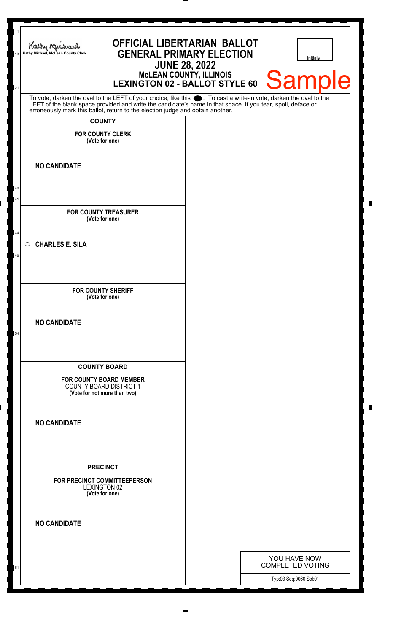| 11<br>13<br>21 | Kathy Michael<br>Kathy Michael, McLean County Clerk                                                                                                                                                                                                                                                                    | <b>OFFICIAL LIBERTARIAN BALLOT</b><br><b>GENERAL PRIMARY ELECTION</b><br>McLEAN COUNTY, ILLINOIS<br>LEXINGTON 02 - BALLOT STYLE 60 | <b>JUNE 28, 2022</b> | <b>Initials</b><br><b>Sample</b>        |
|----------------|------------------------------------------------------------------------------------------------------------------------------------------------------------------------------------------------------------------------------------------------------------------------------------------------------------------------|------------------------------------------------------------------------------------------------------------------------------------|----------------------|-----------------------------------------|
|                | To vote, darken the oval to the LEFT of your choice, like this $\bullet$ . To cast a write-in vote, darken the oval to the LEFT of the blank space provided and write the candidate's name in that space. If you tear, spoil, deface<br>erroneously mark this ballot, return to the election judge and obtain another. |                                                                                                                                    |                      |                                         |
|                | <b>COUNTY</b>                                                                                                                                                                                                                                                                                                          |                                                                                                                                    |                      |                                         |
|                | <b>FOR COUNTY CLERK</b><br>(Vote for one)                                                                                                                                                                                                                                                                              |                                                                                                                                    |                      |                                         |
|                | <b>NO CANDIDATE</b>                                                                                                                                                                                                                                                                                                    |                                                                                                                                    |                      |                                         |
| 40             |                                                                                                                                                                                                                                                                                                                        |                                                                                                                                    |                      |                                         |
| 41             |                                                                                                                                                                                                                                                                                                                        |                                                                                                                                    |                      |                                         |
|                | <b>FOR COUNTY TREASURER</b><br>(Vote for one)                                                                                                                                                                                                                                                                          |                                                                                                                                    |                      |                                         |
| 44<br>$\circ$  | <b>CHARLES E. SILA</b>                                                                                                                                                                                                                                                                                                 |                                                                                                                                    |                      |                                         |
| 46             |                                                                                                                                                                                                                                                                                                                        |                                                                                                                                    |                      |                                         |
|                |                                                                                                                                                                                                                                                                                                                        |                                                                                                                                    |                      |                                         |
|                | <b>FOR COUNTY SHERIFF</b><br>(Vote for one)                                                                                                                                                                                                                                                                            |                                                                                                                                    |                      |                                         |
| 54             | <b>NO CANDIDATE</b>                                                                                                                                                                                                                                                                                                    |                                                                                                                                    |                      |                                         |
|                | <b>COUNTY BOARD</b>                                                                                                                                                                                                                                                                                                    |                                                                                                                                    |                      |                                         |
|                | FOR COUNTY BOARD MEMBER<br><b>COUNTY BOARD DISTRICT 1</b><br>(Vote for not more than two)                                                                                                                                                                                                                              |                                                                                                                                    |                      |                                         |
|                | <b>NO CANDIDATE</b>                                                                                                                                                                                                                                                                                                    |                                                                                                                                    |                      |                                         |
|                | <b>PRECINCT</b>                                                                                                                                                                                                                                                                                                        |                                                                                                                                    |                      |                                         |
|                | FOR PRECINCT COMMITTEEPERSON<br><b>LEXINGTON 02</b><br>(Vote for one)                                                                                                                                                                                                                                                  |                                                                                                                                    |                      |                                         |
|                | <b>NO CANDIDATE</b>                                                                                                                                                                                                                                                                                                    |                                                                                                                                    |                      |                                         |
|                |                                                                                                                                                                                                                                                                                                                        |                                                                                                                                    |                      | YOU HAVE NOW<br><b>COMPLETED VOTING</b> |
| 61             |                                                                                                                                                                                                                                                                                                                        |                                                                                                                                    |                      | Typ:03 Seq:0060 Spl:01                  |
|                |                                                                                                                                                                                                                                                                                                                        |                                                                                                                                    |                      |                                         |